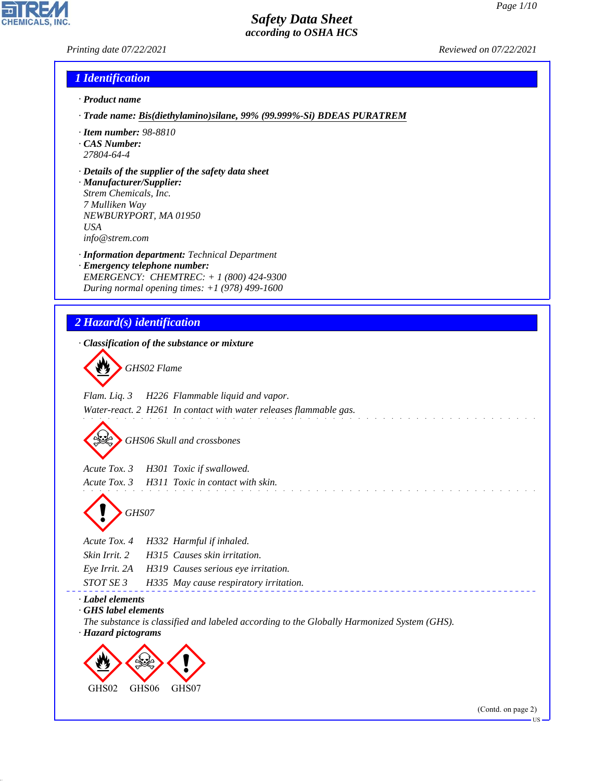*Printing date 07/22/2021 Reviewed on 07/22/2021*

**CHEMICALS** 

#### *1 Identification*

- *· Product name*
- *· Trade name: Bis(diethylamino)silane, 99% (99.999%-Si) BDEAS PURATREM*
- *· Item number: 98-8810*
- *· CAS Number:*
- *27804-64-4*
- *· Details of the supplier of the safety data sheet*
- *· Manufacturer/Supplier: Strem Chemicals, Inc. 7 Mulliken Way NEWBURYPORT, MA 01950 USA info@strem.com*
- *· Information department: Technical Department · Emergency telephone number: EMERGENCY: CHEMTREC: + 1 (800) 424-9300 During normal opening times: +1 (978) 499-1600*

# *2 Hazard(s) identification*

*· Classification of the substance or mixture*

d~*GHS02 Flame*

*Flam. Liq. 3 H226 Flammable liquid and vapor. Water-react. 2 H261 In contact with water releases flammable gas.*

d~*GHS06 Skull and crossbones*

*Acute Tox. 3 H301 Toxic if swallowed. Acute Tox. 3 H311 Toxic in contact with skin.*

d~*GHS07*

*Acute Tox. 4 H332 Harmful if inhaled. Skin Irrit. 2 H315 Causes skin irritation. Eye Irrit. 2A H319 Causes serious eye irritation. STOT SE 3 H335 May cause respiratory irritation.*

*· Label elements*

44.1.1

*· GHS label elements*

*The substance is classified and labeled according to the Globally Harmonized System (GHS). · Hazard pictograms*

. . . . . . . . .

<u> 22222222222</u>



(Contd. on page 2)

US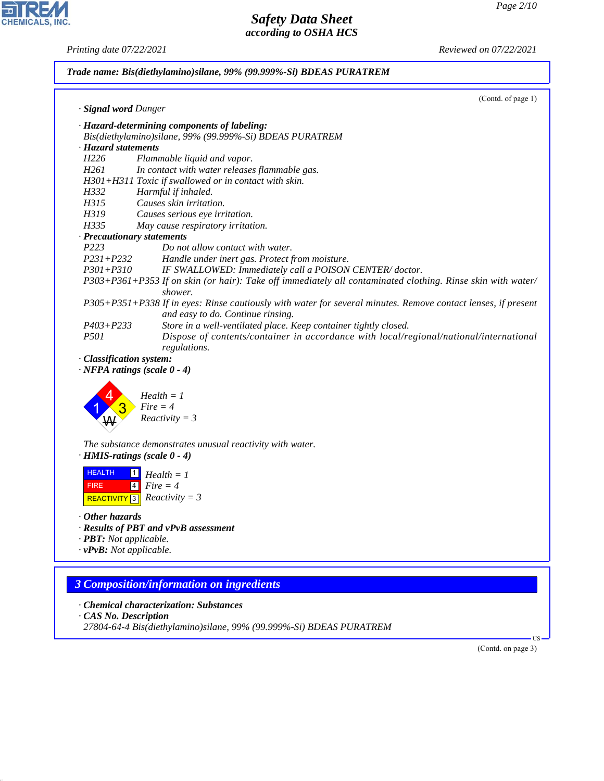*Printing date 07/22/2021 Reviewed on 07/22/2021*

|                                | Trade name: Bis(diethylamino)silane, 99% (99.999%-Si) BDEAS PURATREM                                                   |  |  |
|--------------------------------|------------------------------------------------------------------------------------------------------------------------|--|--|
| · Signal word Danger           | (Contd. of page 1)                                                                                                     |  |  |
|                                | · Hazard-determining components of labeling:                                                                           |  |  |
|                                | Bis(diethylamino)silane, 99% (99.999%-Si) BDEAS PURATREM                                                               |  |  |
| · Hazard statements            |                                                                                                                        |  |  |
| H <sub>226</sub>               | Flammable liquid and vapor.                                                                                            |  |  |
| H <sub>261</sub>               | In contact with water releases flammable gas.                                                                          |  |  |
|                                | H301+H311 Toxic if swallowed or in contact with skin.                                                                  |  |  |
| H332                           | Harmful if inhaled.                                                                                                    |  |  |
| H315                           | Causes skin irritation.                                                                                                |  |  |
| H319                           | Causes serious eye irritation.                                                                                         |  |  |
| H335                           | May cause respiratory irritation.                                                                                      |  |  |
|                                | · Precautionary statements                                                                                             |  |  |
| P223                           | Do not allow contact with water.                                                                                       |  |  |
| $P231 + P232$                  | Handle under inert gas. Protect from moisture.                                                                         |  |  |
| $P301 + P310$                  | IF SWALLOWED: Immediately call a POISON CENTER/doctor.                                                                 |  |  |
|                                | P303+P361+P353 If on skin (or hair): Take off immediately all contaminated clothing. Rinse skin with water/<br>shower. |  |  |
|                                | P305+P351+P338 If in eyes: Rinse cautiously with water for several minutes. Remove contact lenses, if present          |  |  |
|                                | and easy to do. Continue rinsing.                                                                                      |  |  |
| $P403 + P233$                  | Store in a well-ventilated place. Keep container tightly closed.                                                       |  |  |
| P <sub>501</sub>               | Dispose of contents/container in accordance with local/regional/national/international<br>regulations.                 |  |  |
| · Classification system:       |                                                                                                                        |  |  |
|                                | $\cdot$ NFPA ratings (scale 0 - 4)                                                                                     |  |  |
|                                | $Health = 1$                                                                                                           |  |  |
|                                | $Fire = 4$<br>$Reactivity = 3$                                                                                         |  |  |
|                                |                                                                                                                        |  |  |
|                                | The substance demonstrates unusual reactivity with water.<br>$\cdot$ HMIS-ratings (scale 0 - 4)                        |  |  |
|                                |                                                                                                                        |  |  |
| <b>HEALTH</b>                  | $Health = 1$                                                                                                           |  |  |
| <b>FIRE</b>                    | $\boxed{4}$<br>$Fire = 4$                                                                                              |  |  |
| REACTIVITY <sup>3</sup>        | $Reactivity = 3$                                                                                                       |  |  |
|                                |                                                                                                                        |  |  |
| ⋅ Other hazards                | · Results of PBT and vPvB assessment                                                                                   |  |  |
| · <b>PBT</b> : Not applicable. |                                                                                                                        |  |  |
| $\cdot$ vPvB: Not applicable.  |                                                                                                                        |  |  |
|                                |                                                                                                                        |  |  |
|                                |                                                                                                                        |  |  |
|                                | <b>3 Composition/information on ingredients</b>                                                                        |  |  |
|                                | · Chemical characterization: Substances                                                                                |  |  |
| · CAS No. Description          |                                                                                                                        |  |  |
|                                | 27804-64-4 Bis(diethylamino)silane, 99% (99.999%-Si) BDEAS PURATREM                                                    |  |  |
|                                |                                                                                                                        |  |  |
|                                | (Contd. on page 3)                                                                                                     |  |  |
|                                |                                                                                                                        |  |  |



44.1.1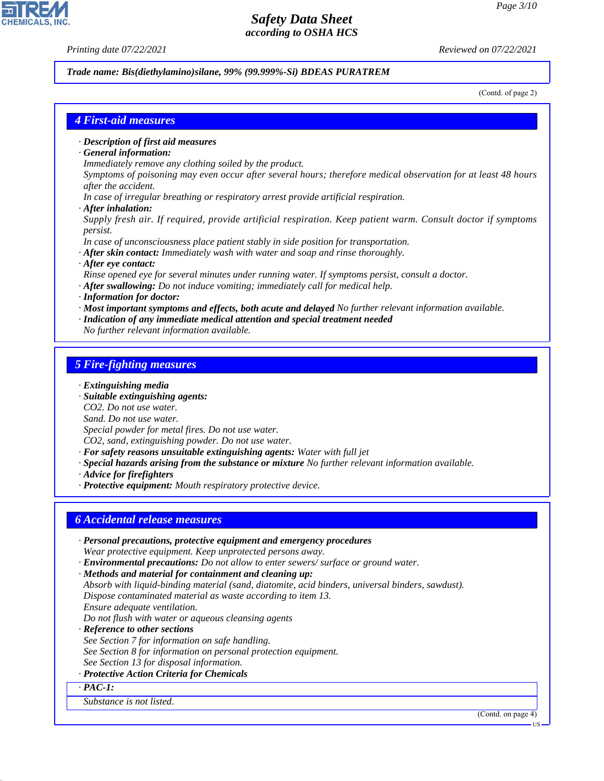*Printing date 07/22/2021 Reviewed on 07/22/2021*

#### *Trade name: Bis(diethylamino)silane, 99% (99.999%-Si) BDEAS PURATREM*

(Contd. of page 2)

#### *4 First-aid measures*

- *· Description of first aid measures*
- *· General information:*
- *Immediately remove any clothing soiled by the product.*

*Symptoms of poisoning may even occur after several hours; therefore medical observation for at least 48 hours after the accident.*

- *In case of irregular breathing or respiratory arrest provide artificial respiration.*
- *· After inhalation:*

*Supply fresh air. If required, provide artificial respiration. Keep patient warm. Consult doctor if symptoms persist.*

- *In case of unconsciousness place patient stably in side position for transportation.*
- *· After skin contact: Immediately wash with water and soap and rinse thoroughly.*
- *· After eye contact:*
- *Rinse opened eye for several minutes under running water. If symptoms persist, consult a doctor.*
- *· After swallowing: Do not induce vomiting; immediately call for medical help.*
- *· Information for doctor:*
- *· Most important symptoms and effects, both acute and delayed No further relevant information available.*
- *· Indication of any immediate medical attention and special treatment needed*
- *No further relevant information available.*

#### *5 Fire-fighting measures*

- *· Extinguishing media*
- *· Suitable extinguishing agents:*

*CO2. Do not use water.*

*Sand. Do not use water.*

*Special powder for metal fires. Do not use water. CO2, sand, extinguishing powder. Do not use water.*

- *· For safety reasons unsuitable extinguishing agents: Water with full jet*
- *· Special hazards arising from the substance or mixture No further relevant information available.*
- *· Advice for firefighters*
- *· Protective equipment: Mouth respiratory protective device.*

#### *6 Accidental release measures*

- *· Personal precautions, protective equipment and emergency procedures Wear protective equipment. Keep unprotected persons away.*
- *· Environmental precautions: Do not allow to enter sewers/ surface or ground water.*
- *· Methods and material for containment and cleaning up:*
- *Absorb with liquid-binding material (sand, diatomite, acid binders, universal binders, sawdust).*
- *Dispose contaminated material as waste according to item 13.*
- *Ensure adequate ventilation.*
- *Do not flush with water or aqueous cleansing agents*
- *· Reference to other sections*
- *See Section 7 for information on safe handling.*
- *See Section 8 for information on personal protection equipment.*
- *See Section 13 for disposal information.*

#### *· Protective Action Criteria for Chemicals*

#### *· PAC-1:*

44.1.1

*Substance is not listed.*

(Contd. on page 4)



US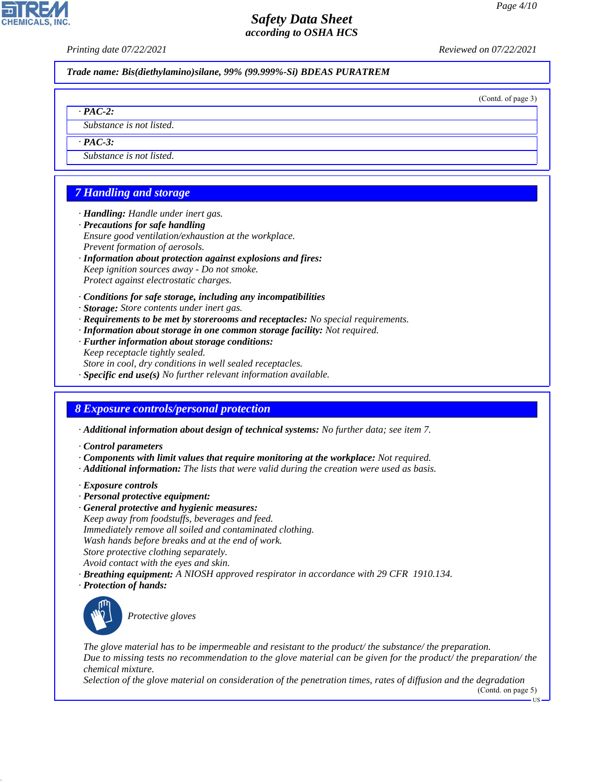*Printing date 07/22/2021 Reviewed on 07/22/2021*

*Trade name: Bis(diethylamino)silane, 99% (99.999%-Si) BDEAS PURATREM*

(Contd. of page 3)

*· PAC-2:*

*Substance is not listed.*

*· PAC-3:*

*Substance is not listed.*

# *7 Handling and storage*

- *· Handling: Handle under inert gas.*
- *· Precautions for safe handling*
- *Ensure good ventilation/exhaustion at the workplace. Prevent formation of aerosols.*
- *· Information about protection against explosions and fires: Keep ignition sources away - Do not smoke. Protect against electrostatic charges.*
- *· Conditions for safe storage, including any incompatibilities*
- *· Storage: Store contents under inert gas.*
- *· Requirements to be met by storerooms and receptacles: No special requirements.*
- *· Information about storage in one common storage facility: Not required.*
- *· Further information about storage conditions: Keep receptacle tightly sealed.*
- *Store in cool, dry conditions in well sealed receptacles.*
- *· Specific end use(s) No further relevant information available.*

#### *8 Exposure controls/personal protection*

*· Additional information about design of technical systems: No further data; see item 7.*

- *· Control parameters*
- *· Components with limit values that require monitoring at the workplace: Not required.*
- *· Additional information: The lists that were valid during the creation were used as basis.*
- *· Exposure controls*
- *· Personal protective equipment:*
- *· General protective and hygienic measures: Keep away from foodstuffs, beverages and feed. Immediately remove all soiled and contaminated clothing. Wash hands before breaks and at the end of work. Store protective clothing separately. Avoid contact with the eyes and skin.*
- *· Breathing equipment: A NIOSH approved respirator in accordance with 29 CFR 1910.134.*
- *· Protection of hands:*



44.1.1

\_S*Protective gloves*

*The glove material has to be impermeable and resistant to the product/ the substance/ the preparation. Due to missing tests no recommendation to the glove material can be given for the product/ the preparation/ the chemical mixture.*

*Selection of the glove material on consideration of the penetration times, rates of diffusion and the degradation* (Contd. on page 5)

US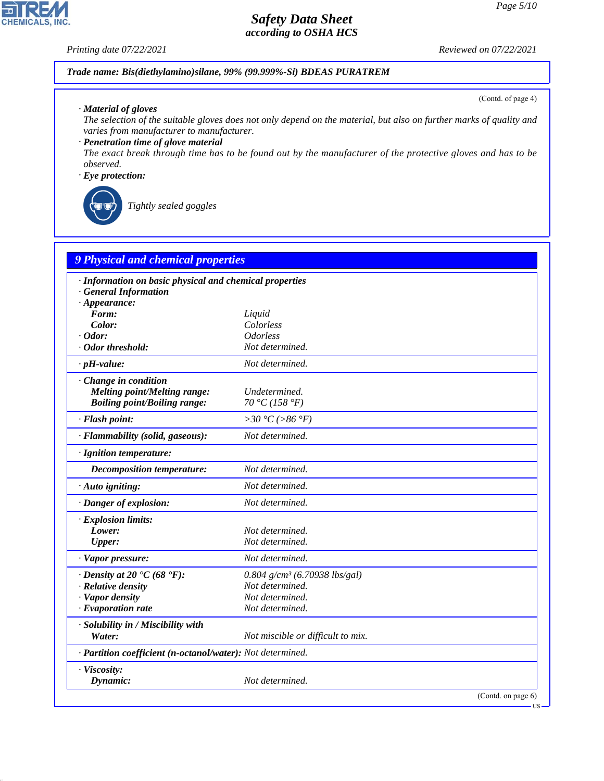**CHEMICALS, INC** 

*Printing date 07/22/2021 Reviewed on 07/22/2021*

#### *Trade name: Bis(diethylamino)silane, 99% (99.999%-Si) BDEAS PURATREM*

(Contd. of page 4)

#### *· Material of gloves*

*The selection of the suitable gloves does not only depend on the material, but also on further marks of quality and varies from manufacturer to manufacturer.*

#### *· Penetration time of glove material*

*The exact break through time has to be found out by the manufacturer of the protective gloves and has to be observed.*

## *· Eye protection:*



44.1.1

\_R*Tightly sealed goggles*

# *9 Physical and chemical properties · Information on basic physical and chemical properties · General Information · Appearance: Form: Liquid Color: Colorless · Odor: Odorless · Odor threshold: Not determined. · pH-value: Not determined. · Change in condition Melting point/Melting range: Undetermined. Boiling point/Boiling range: 70 °C (158 °F) · Flash point: >30 °C (>86 °F) · Flammability (solid, gaseous): Not determined. · Ignition temperature: Decomposition temperature: Not determined. · Auto igniting: Not determined. · Danger of explosion: Not determined. · Explosion limits: Lower: Not determined. Upper: Not determined. · Vapor pressure: Not determined. · Density at 20 °C (68 °F): 0.804 g/cm³ (6.70938 lbs/gal) · Relative density Not determined. · Vapor density Not determined. · Evaporation rate Not determined. · Solubility in / Miscibility with Water: Not miscible or difficult to mix. · Partition coefficient (n-octanol/water): Not determined. · Viscosity: Dynamic: Not determined.* (Contd. on page 6)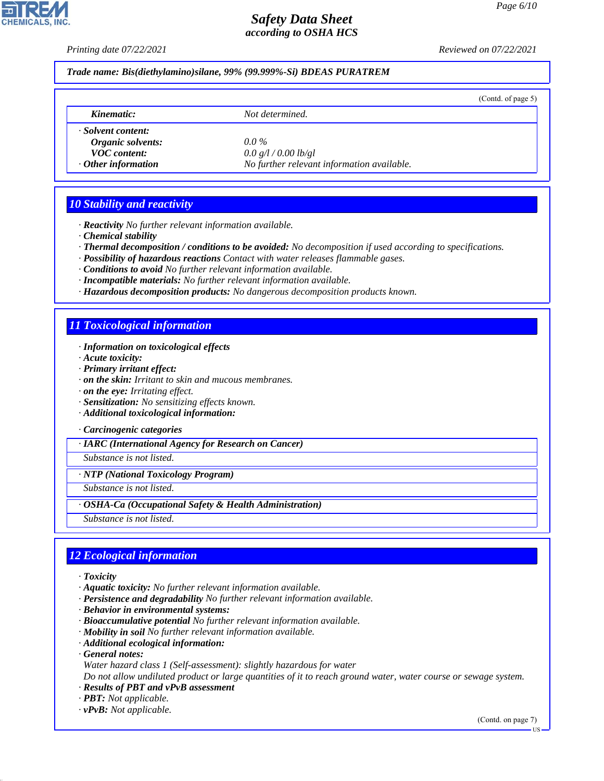**CHEMICALS** 

*Printing date 07/22/2021 Reviewed on 07/22/2021*

#### *Trade name: Bis(diethylamino)silane, 99% (99.999%-Si) BDEAS PURATREM*

|                           | (Contd. of page 5)                         |
|---------------------------|--------------------------------------------|
| Kinematic:                | Not determined.                            |
| Solvent content:          |                                            |
| Organic solvents:         | $0.0\%$                                    |
| <b>VOC</b> content:       | 0.0 g/l / 0.00 lb/gl                       |
| $\cdot$ Other information | No further relevant information available. |

### *10 Stability and reactivity*

- *· Reactivity No further relevant information available.*
- *· Chemical stability*
- *· Thermal decomposition / conditions to be avoided: No decomposition if used according to specifications.*
- *· Possibility of hazardous reactions Contact with water releases flammable gases.*
- *· Conditions to avoid No further relevant information available.*
- *· Incompatible materials: No further relevant information available.*
- *· Hazardous decomposition products: No dangerous decomposition products known.*

## *11 Toxicological information*

- *· Information on toxicological effects*
- *· Acute toxicity:*
- *· Primary irritant effect:*
- *· on the skin: Irritant to skin and mucous membranes.*
- *· on the eye: Irritating effect.*
- *· Sensitization: No sensitizing effects known.*
- *· Additional toxicological information:*
- *· Carcinogenic categories*

*· IARC (International Agency for Research on Cancer)*

*Substance is not listed.*

*· NTP (National Toxicology Program)*

*Substance is not listed.*

- *· OSHA-Ca (Occupational Safety & Health Administration)*
- *Substance is not listed.*

## *12 Ecological information*

- *· Toxicity*
- *· Aquatic toxicity: No further relevant information available.*
- *· Persistence and degradability No further relevant information available.*
- *· Behavior in environmental systems:*
- *· Bioaccumulative potential No further relevant information available.*
- *· Mobility in soil No further relevant information available.*
- *· Additional ecological information:*
- *· General notes:*

44.1.1

*Water hazard class 1 (Self-assessment): slightly hazardous for water*

*Do not allow undiluted product or large quantities of it to reach ground water, water course or sewage system.*

- *· Results of PBT and vPvB assessment*
- *· PBT: Not applicable.*
- *· vPvB: Not applicable.*

(Contd. on page 7)

US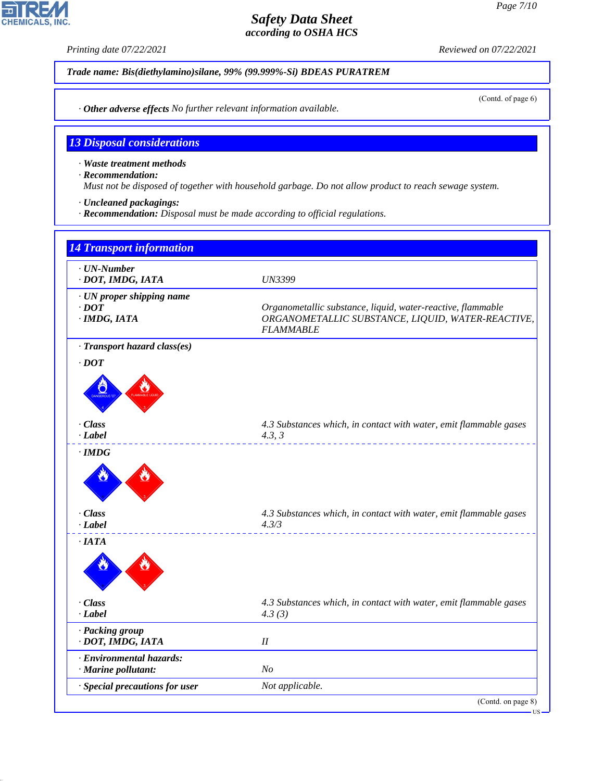*Printing date 07/22/2021 Reviewed on 07/22/2021*

*Trade name: Bis(diethylamino)silane, 99% (99.999%-Si) BDEAS PURATREM*

(Contd. of page 6)

*· Other adverse effects No further relevant information available.*

# *13 Disposal considerations*

*· Waste treatment methods*

*· Recommendation:*

*Must not be disposed of together with household garbage. Do not allow product to reach sewage system.*

- *· Uncleaned packagings:*
- *· Recommendation: Disposal must be made according to official regulations.*

| $\cdot$ UN-Number                                                        |                                                                                                                                      |
|--------------------------------------------------------------------------|--------------------------------------------------------------------------------------------------------------------------------------|
| · DOT, IMDG, IATA                                                        | <b>UN3399</b>                                                                                                                        |
| · UN proper shipping name<br>$\cdot$ <i>DOT</i><br>$·$ <i>IMDG, IATA</i> | Organometallic substance, liquid, water-reactive, flammable<br>ORGANOMETALLIC SUBSTANCE, LIQUID, WATER-REACTIVE,<br><b>FLAMMABLE</b> |
| · Transport hazard class(es)                                             |                                                                                                                                      |
| $\cdot$ DOT                                                              |                                                                                                                                      |
|                                                                          |                                                                                                                                      |
| · Class<br>$-Label$                                                      | 4.3 Substances which, in contact with water, emit flammable gases<br>4.3, 3<br>_____________________________                         |
| $\cdot$ IMDG                                                             |                                                                                                                                      |
|                                                                          |                                                                                                                                      |
| · Class<br>$-Label$                                                      | 4.3 Substances which, in contact with water, emit flammable gases<br>4.3/3                                                           |
| ·IATA                                                                    |                                                                                                                                      |
|                                                                          |                                                                                                                                      |
| · Class                                                                  | 4.3 Substances which, in contact with water, emit flammable gases                                                                    |
| $-Label$                                                                 | 4.3(3)                                                                                                                               |
| · Packing group<br>· DOT, IMDG, IATA                                     | $I\!I$                                                                                                                               |
| · Environmental hazards:<br>· Marine pollutant:                          | N <sub>O</sub>                                                                                                                       |
| · Special precautions for user                                           | Not applicable.                                                                                                                      |



44.1.1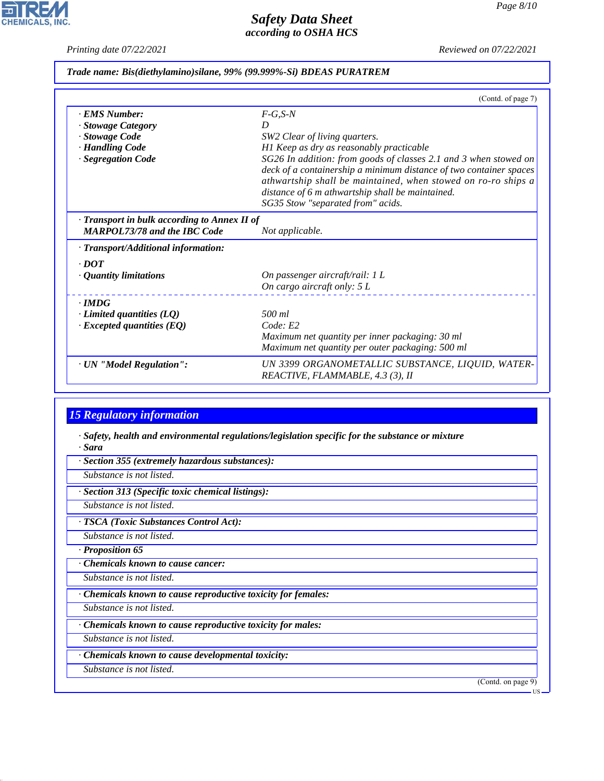피

**CHEMICALS, INC.** 

*Printing date 07/22/2021 Reviewed on 07/22/2021*

|                                                    | (Contd. of page 7)                                                                                  |
|----------------------------------------------------|-----------------------------------------------------------------------------------------------------|
| · EMS Number:                                      | $F-G, S-N$                                                                                          |
| · Stowage Category                                 | D                                                                                                   |
| · Stowage Code                                     | SW2 Clear of living quarters.                                                                       |
| · Handling Code                                    | H1 Keep as dry as reasonably practicable                                                            |
| · Segregation Code                                 | SG26 In addition: from goods of classes 2.1 and 3 when stowed on                                    |
|                                                    | deck of a containership a minimum distance of two container spaces                                  |
|                                                    | athwartship shall be maintained, when stowed on ro-ro ships a                                       |
|                                                    | distance of 6 m athwartship shall be maintained.                                                    |
|                                                    | SG35 Stow "separated from" acids.                                                                   |
| Transport in bulk according to Annex II of         |                                                                                                     |
|                                                    |                                                                                                     |
| <b>MARPOL73/78 and the IBC Code</b>                | Not applicable.                                                                                     |
|                                                    |                                                                                                     |
| · Transport/Additional information:<br>$\cdot$ DOT |                                                                                                     |
|                                                    |                                                                                                     |
|                                                    | On passenger aircraft/rail: 1 L<br>On cargo aircraft only: 5 L                                      |
|                                                    |                                                                                                     |
| · Quantity limitations<br>$\cdot$ IMDG             | 500 ml                                                                                              |
| $\cdot$ Limited quantities (LQ)                    | Code: E2                                                                                            |
| $\cdot$ Excepted quantities (EQ)                   |                                                                                                     |
|                                                    | Maximum net quantity per inner packaging: 30 ml<br>Maximum net quantity per outer packaging: 500 ml |
| · UN "Model Regulation":                           | UN 3399 ORGANOMETALLIC SUBSTANCE, LIQUID, WATER-                                                    |

# *15 Regulatory information*

- *· Safety, health and environmental regulations/legislation specific for the substance or mixture · Sara*
- *· Section 355 (extremely hazardous substances):*
- *Substance is not listed.*
- *· Section 313 (Specific toxic chemical listings):*
- *Substance is not listed.*
- *· TSCA (Toxic Substances Control Act):*
- *Substance is not listed.*
- *· Proposition 65*
- *· Chemicals known to cause cancer:*
- *Substance is not listed.*
- *· Chemicals known to cause reproductive toxicity for females:*
- *Substance is not listed.*
- *· Chemicals known to cause reproductive toxicity for males:*
- *Substance is not listed.*
- *· Chemicals known to cause developmental toxicity:*
- *Substance is not listed.*

44.1.1

(Contd. on page 9)

US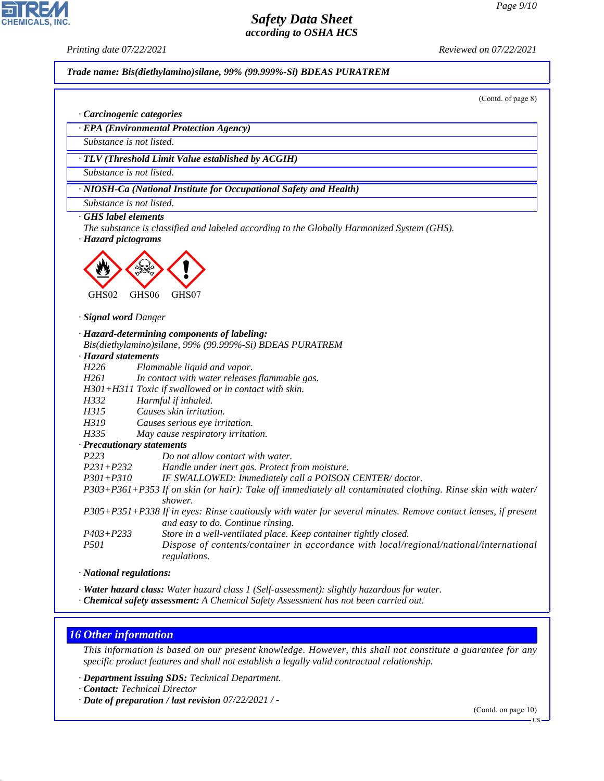**CHEMICALS, INC** 

*Printing date 07/22/2021 Reviewed on 07/22/2021*

*Trade name: Bis(diethylamino)silane, 99% (99.999%-Si) BDEAS PURATREM*

(Contd. of page 8)

*· Carcinogenic categories*

*· EPA (Environmental Protection Agency)*

*Substance is not listed.*

*· TLV (Threshold Limit Value established by ACGIH)*

*Substance is not listed.*

*· NIOSH-Ca (National Institute for Occupational Safety and Health)*

*Substance is not listed.*

*· GHS label elements*

*The substance is classified and labeled according to the Globally Harmonized System (GHS).*

*· Hazard pictograms*



*· Signal word Danger*

|                                                       | · Hazard-determining components of labeling:                                                                                                       |  |
|-------------------------------------------------------|----------------------------------------------------------------------------------------------------------------------------------------------------|--|
|                                                       | Bis(diethylamino)silane, 99% (99.999%-Si) BDEAS PURATREM                                                                                           |  |
| <b>Hazard statements</b>                              |                                                                                                                                                    |  |
| H226                                                  | Flammable liquid and vapor.                                                                                                                        |  |
| H261                                                  | In contact with water releases flammable gas.                                                                                                      |  |
| H301+H311 Toxic if swallowed or in contact with skin. |                                                                                                                                                    |  |
| H332                                                  | Harmful if inhaled.                                                                                                                                |  |
| H315                                                  | Causes skin irritation.                                                                                                                            |  |
| H319                                                  | Causes serious eye irritation.                                                                                                                     |  |
| H335                                                  | May cause respiratory irritation.                                                                                                                  |  |
| Precautionary statements                              |                                                                                                                                                    |  |
| P <sub>223</sub>                                      | Do not allow contact with water.                                                                                                                   |  |
| $P231 + P232$                                         | Handle under inert gas. Protect from moisture.                                                                                                     |  |
| $P301 + P310$                                         | IF SWALLOWED: Immediately call a POISON CENTER/doctor.                                                                                             |  |
|                                                       | $P303+P361+P353$ If on skin (or hair): Take off immediately all contaminated clothing. Rinse skin with water/                                      |  |
|                                                       | shower.                                                                                                                                            |  |
|                                                       | P305+P351+P338 If in eyes: Rinse cautiously with water for several minutes. Remove contact lenses, if present<br>and easy to do. Continue rinsing. |  |
| $P403 + P233$                                         | Store in a well-ventilated place. Keep container tightly closed.                                                                                   |  |
| <i>P501</i>                                           | Dispose of contents/container in accordance with local/regional/national/international<br>regulations.                                             |  |
| $\cdot$ National regulations:                         |                                                                                                                                                    |  |

*· Water hazard class: Water hazard class 1 (Self-assessment): slightly hazardous for water.*

*· Chemical safety assessment: A Chemical Safety Assessment has not been carried out.*

## *16 Other information*

44.1.1

*This information is based on our present knowledge. However, this shall not constitute a guarantee for any specific product features and shall not establish a legally valid contractual relationship.*

*· Department issuing SDS: Technical Department.*

*· Contact: Technical Director*

*· Date of preparation / last revision 07/22/2021 / -*

(Contd. on page 10)

US